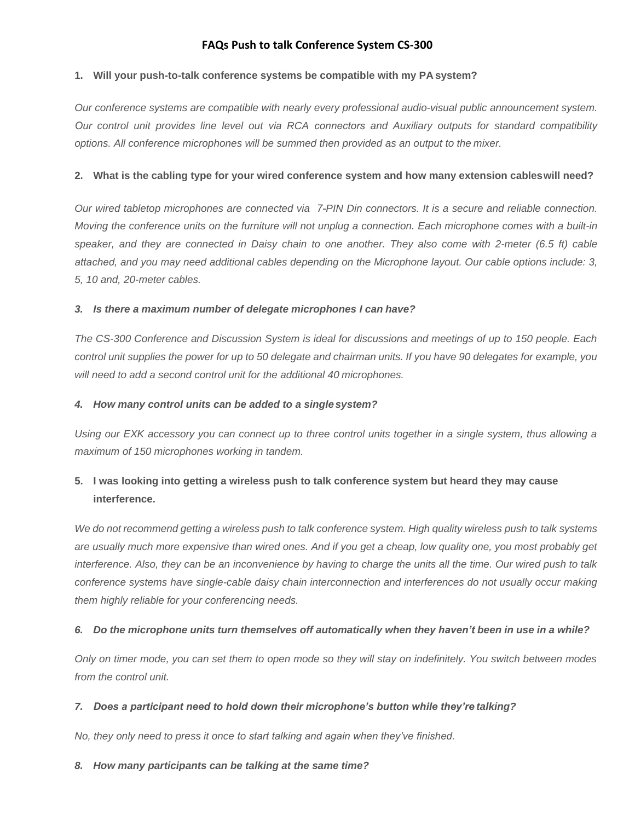# **FAQs Push to talk Conference System CS-300**

## **1. Will your push-to-talk conference systems be compatible with my PA system?**

*Our conference systems are compatible with nearly every professional audio-visual public announcement system. Our control unit provides line level out via RCA connectors and Auxiliary outputs for standard compatibility options. All conference microphones will be summed then provided as an output to the mixer.*

#### **2. What is the cabling type for your wired conference system and how many extension cables will need?**

*Our wired tabletop microphones are connected via 7-PIN Din connectors. It is a secure and reliable connection. Moving the conference units on the furniture will not unplug a connection. Each microphone comes with a built-in speaker, and they are connected in Daisy chain to one another. They also come with 2-meter (6.5 ft) cable attached, and you may need additional cables depending on the Microphone layout. Our cable options include: 3, 5, 10 and, 20-meter cables.*

#### *3. Is there a maximum number of delegate microphones I can have?*

*The CS-300 Conference and Discussion System is ideal for discussions and meetings of up to 150 people. Each control unit supplies the power for up to 50 delegate and chairman units. If you have 90 delegates for example, you will need to add a second control unit for the additional 40 microphones.*

#### *4. How many control units can be added to a single system?*

*Using our EXK accessory you can connect up to three control units together in a single system, thus allowing a maximum of 150 microphones working in tandem.*

# **5. I was looking into getting a wireless push to talk conference system but heard they may cause interference.**

*We do not recommend getting a wireless push to talk conference system. High quality wireless push to talk systems are usually much more expensive than wired ones. And if you get a cheap, low quality one, you most probably get interference. Also, they can be an inconvenience by having to charge the units all the time. Our wired push to talk conference systems have single-cable daisy chain interconnection and interferences do not usually occur making them highly reliable for your conferencing needs.*

## *6. Do the microphone units turn themselves off automatically when they haven't been in use in a while?*

*Only on timer mode, you can set them to open mode so they will stay on indefinitely. You switch between modes from the control unit.*

## *7. Does a participant need to hold down their microphone's button while they're talking?*

*No, they only need to press it once to start talking and again when they've finished.*

#### *8. How many participants can be talking at the same time?*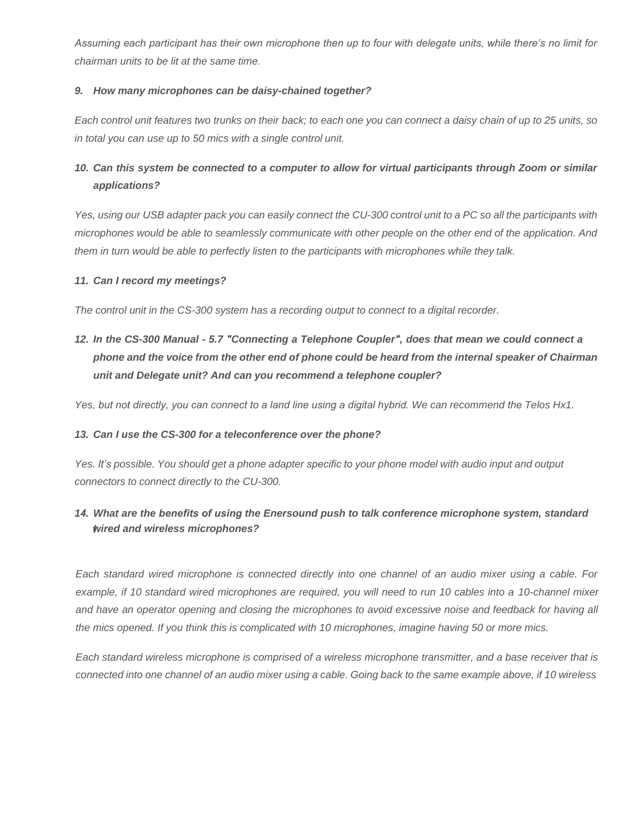*Assuming each participant has their own microphone then up to four with delegate units, while there's no limit for chairman units to be lit at the same time.*

## *9. How many microphones can be daisy-chained together?*

Each control unit features two trunks on their back; to each one you can connect a daisy chain of up to 25 units, so *in total you can use up to 50 mics with a single control unit.*

# *10. Can this system be connected to a computer to allow for virtual participants through Zoom or similar applications?*

Yes, using our USB adapter pack you can easily connect the CU-300 control unit to a PC so all the participants with *microphones would be able to seamlessly communicate with other people on the other end of the application. And them in turn would be able to perfectly listen to the participants with microphones while they talk.*

#### *11. Can I record my meetings?*

*The control unit in the CS-300 system has a recording output to connect to a digital recorder.*

*12. In the CS-300 Manual - 5.7 "Connecting a Telephone Coupler", does that mean we could connect a* phone and the voice from the other end of phone could be heard from the internal speaker of Chairman *unit and Delegate unit? And can you recommend a telephone coupler?*

*Yes, but not directly, you can connect to a land line using a digital hybrid. We can recommend the Telos Hx1.*

## *13. Can I use the CS-300 for a teleconference over the phone?*

*Yes. It's possible. You should get a phone adapter specific to your phone model with audio input and output connectors to connect directly to the CU-300.*

## *l wired and wireless microphones? 14. What are the benefits of using the Enersound push to talk conference microphone system, standard*

*Each standard wired microphone is connected directly into one channel of an audio mixer using a cable. For example, if 10 standard wired microphones are required, you will need to run 10 cables into a 10-channel mixer*  and have an operator opening and closing the microphones to avoid excessive noise and feedback for having all *the mics opened. If you think this is complicated with 10 microphones, imagine having 50 or more mics.*

*Each standard wireless microphone is comprised of a wireless microphone transmitter, and a base receiver that is connected into one channel of an audio mixer using a cable. Going back to the same example above, if 10 wireless*